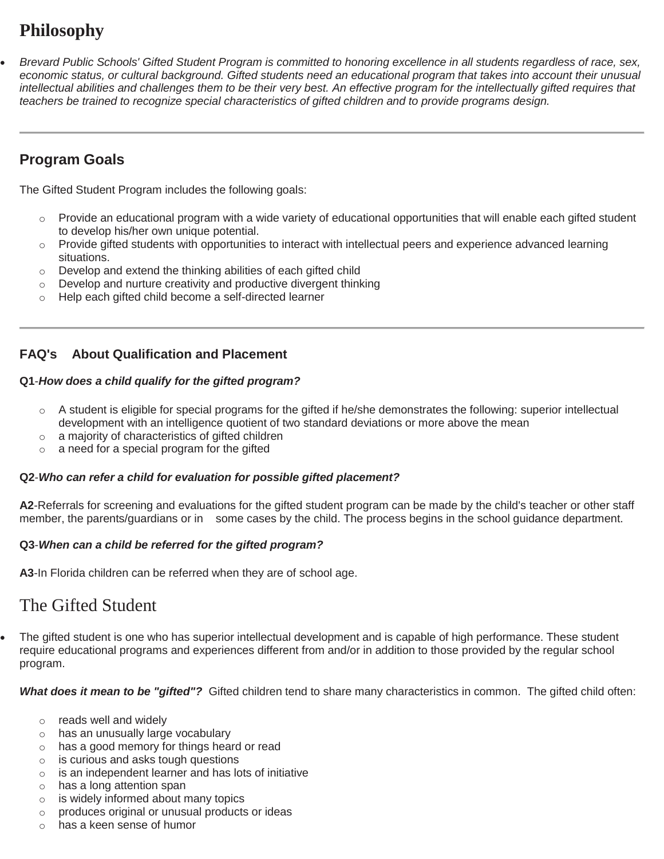# **Philosophy**

 *Brevard Public Schools' Gifted Student Program is committed to honoring excellence in all students regardless of race, sex, economic status, or cultural background. Gifted students need an educational program that takes into account their unusual intellectual abilities and challenges them to be their very best. An effective program for the intellectually gifted requires that teachers be trained to recognize special characteristics of gifted children and to provide programs design.*

## **Program Goals**

The Gifted Student Program includes the following goals:

- $\circ$  Provide an educational program with a wide variety of educational opportunities that will enable each gifted student to develop his/her own unique potential.
- o Provide gifted students with opportunities to interact with intellectual peers and experience advanced learning situations.
- o Develop and extend the thinking abilities of each gifted child
- $\circ$  Develop and nurture creativity and productive divergent thinking
- o Help each gifted child become a self-directed learner

### **FAQ's About Qualification and Placement**

#### **Q1**-*How does a child qualify for the gifted program?*

- $\circ$  A student is eligible for special programs for the gifted if he/she demonstrates the following: superior intellectual development with an intelligence quotient of two standard deviations or more above the mean
- o a majority of characteristics of gifted children
- o a need for a special program for the gifted

#### **Q2**-*Who can refer a child for evaluation for possible gifted placement?*

**A2**-Referrals for screening and evaluations for the gifted student program can be made by the child's teacher or other staff member, the parents/guardians or in some cases by the child. The process begins in the school guidance department.

#### **Q3**-*When can a child be referred for the gifted program?*

**A3**-In Florida children can be referred when they are of school age.

# The Gifted Student

 The gifted student is one who has superior intellectual development and is capable of high performance. These student require educational programs and experiences different from and/or in addition to those provided by the regular school program.

*What does it mean to be "gifted"?* Gifted children tend to share many characteristics in common. The gifted child often:

- o reads well and widely
- o has an unusually large vocabulary
- o has a good memory for things heard or read
- o is curious and asks tough questions
- o is an independent learner and has lots of initiative
- o has a long attention span
- o is widely informed about many topics
- o produces original or unusual products or ideas
- o has a keen sense of humor